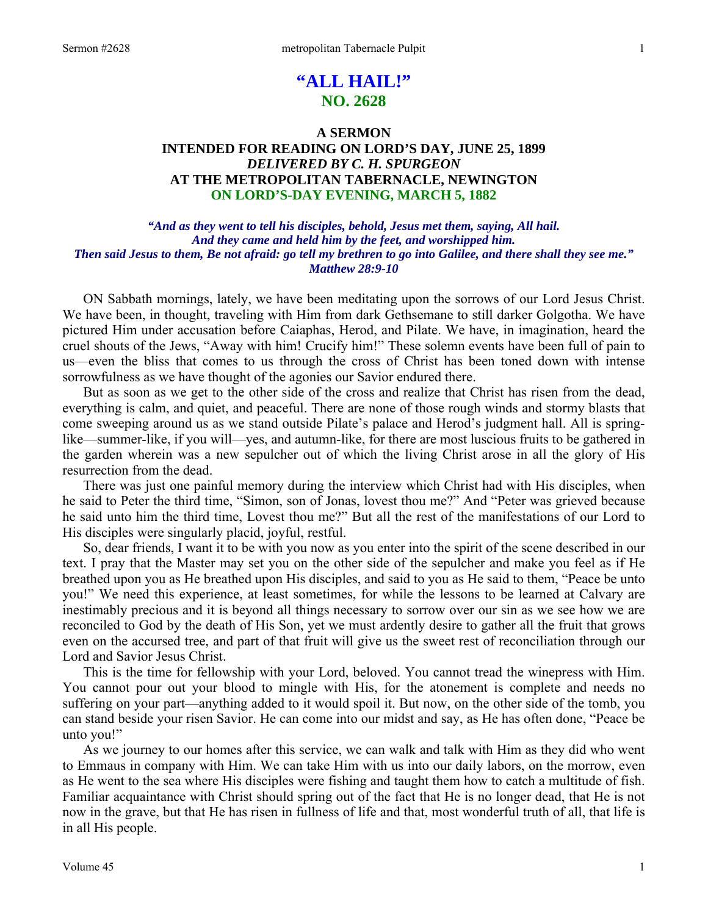# **"ALL HAIL!" NO. 2628**

# **A SERMON INTENDED FOR READING ON LORD'S DAY, JUNE 25, 1899**  *DELIVERED BY C. H. SPURGEON*  **AT THE METROPOLITAN TABERNACLE, NEWINGTON ON LORD'S-DAY EVENING, MARCH 5, 1882**

### *"And as they went to tell his disciples, behold, Jesus met them, saying, All hail. And they came and held him by the feet, and worshipped him. Then said Jesus to them, Be not afraid: go tell my brethren to go into Galilee, and there shall they see me." Matthew 28:9-10*

ON Sabbath mornings, lately, we have been meditating upon the sorrows of our Lord Jesus Christ. We have been, in thought, traveling with Him from dark Gethsemane to still darker Golgotha. We have pictured Him under accusation before Caiaphas, Herod, and Pilate. We have, in imagination, heard the cruel shouts of the Jews, "Away with him! Crucify him!" These solemn events have been full of pain to us—even the bliss that comes to us through the cross of Christ has been toned down with intense sorrowfulness as we have thought of the agonies our Savior endured there.

 But as soon as we get to the other side of the cross and realize that Christ has risen from the dead, everything is calm, and quiet, and peaceful. There are none of those rough winds and stormy blasts that come sweeping around us as we stand outside Pilate's palace and Herod's judgment hall. All is springlike—summer-like, if you will—yes, and autumn-like, for there are most luscious fruits to be gathered in the garden wherein was a new sepulcher out of which the living Christ arose in all the glory of His resurrection from the dead.

 There was just one painful memory during the interview which Christ had with His disciples, when he said to Peter the third time, "Simon, son of Jonas, lovest thou me?" And "Peter was grieved because he said unto him the third time, Lovest thou me?" But all the rest of the manifestations of our Lord to His disciples were singularly placid, joyful, restful.

 So, dear friends, I want it to be with you now as you enter into the spirit of the scene described in our text. I pray that the Master may set you on the other side of the sepulcher and make you feel as if He breathed upon you as He breathed upon His disciples, and said to you as He said to them, "Peace be unto you!" We need this experience, at least sometimes, for while the lessons to be learned at Calvary are inestimably precious and it is beyond all things necessary to sorrow over our sin as we see how we are reconciled to God by the death of His Son, yet we must ardently desire to gather all the fruit that grows even on the accursed tree, and part of that fruit will give us the sweet rest of reconciliation through our Lord and Savior Jesus Christ.

 This is the time for fellowship with your Lord, beloved. You cannot tread the winepress with Him. You cannot pour out your blood to mingle with His, for the atonement is complete and needs no suffering on your part—anything added to it would spoil it. But now, on the other side of the tomb, you can stand beside your risen Savior. He can come into our midst and say, as He has often done, "Peace be unto you!"

 As we journey to our homes after this service, we can walk and talk with Him as they did who went to Emmaus in company with Him. We can take Him with us into our daily labors, on the morrow, even as He went to the sea where His disciples were fishing and taught them how to catch a multitude of fish. Familiar acquaintance with Christ should spring out of the fact that He is no longer dead, that He is not now in the grave, but that He has risen in fullness of life and that, most wonderful truth of all, that life is in all His people.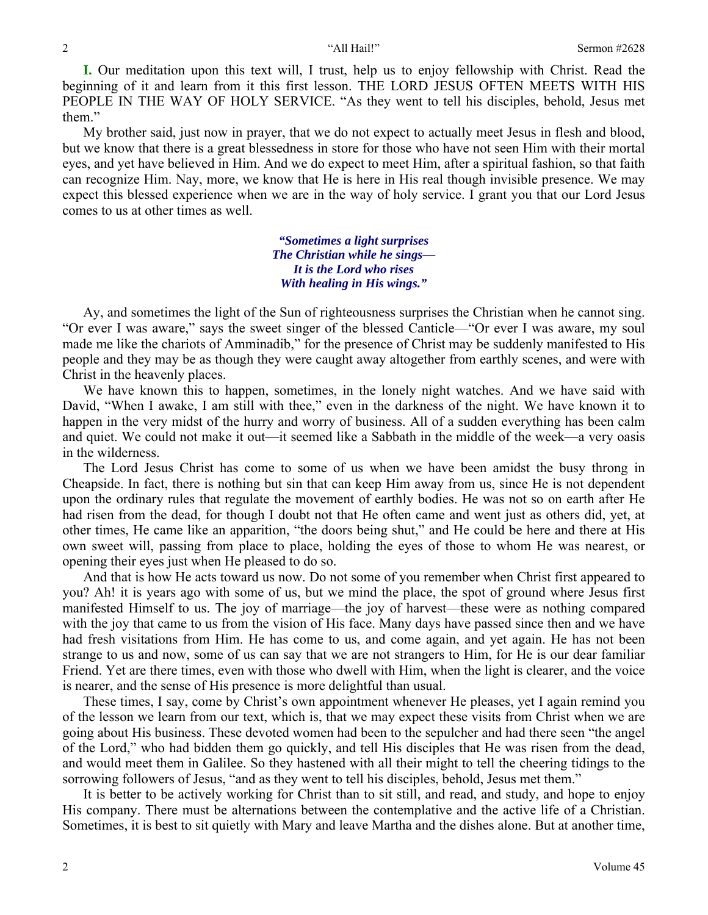**I.** Our meditation upon this text will, I trust, help us to enjoy fellowship with Christ. Read the beginning of it and learn from it this first lesson. THE LORD JESUS OFTEN MEETS WITH HIS PEOPLE IN THE WAY OF HOLY SERVICE. "As they went to tell his disciples, behold, Jesus met them."

 My brother said, just now in prayer, that we do not expect to actually meet Jesus in flesh and blood, but we know that there is a great blessedness in store for those who have not seen Him with their mortal eyes, and yet have believed in Him. And we do expect to meet Him, after a spiritual fashion, so that faith can recognize Him. Nay, more, we know that He is here in His real though invisible presence. We may expect this blessed experience when we are in the way of holy service. I grant you that our Lord Jesus comes to us at other times as well.

> *"Sometimes a light surprises The Christian while he sings— It is the Lord who rises With healing in His wings."*

 Ay, and sometimes the light of the Sun of righteousness surprises the Christian when he cannot sing. "Or ever I was aware," says the sweet singer of the blessed Canticle—"Or ever I was aware, my soul made me like the chariots of Amminadib," for the presence of Christ may be suddenly manifested to His people and they may be as though they were caught away altogether from earthly scenes, and were with Christ in the heavenly places.

 We have known this to happen, sometimes, in the lonely night watches. And we have said with David, "When I awake, I am still with thee," even in the darkness of the night. We have known it to happen in the very midst of the hurry and worry of business. All of a sudden everything has been calm and quiet. We could not make it out—it seemed like a Sabbath in the middle of the week—a very oasis in the wilderness.

 The Lord Jesus Christ has come to some of us when we have been amidst the busy throng in Cheapside. In fact, there is nothing but sin that can keep Him away from us, since He is not dependent upon the ordinary rules that regulate the movement of earthly bodies. He was not so on earth after He had risen from the dead, for though I doubt not that He often came and went just as others did, yet, at other times, He came like an apparition, "the doors being shut," and He could be here and there at His own sweet will, passing from place to place, holding the eyes of those to whom He was nearest, or opening their eyes just when He pleased to do so.

 And that is how He acts toward us now. Do not some of you remember when Christ first appeared to you? Ah! it is years ago with some of us, but we mind the place, the spot of ground where Jesus first manifested Himself to us. The joy of marriage—the joy of harvest—these were as nothing compared with the joy that came to us from the vision of His face. Many days have passed since then and we have had fresh visitations from Him. He has come to us, and come again, and yet again. He has not been strange to us and now, some of us can say that we are not strangers to Him, for He is our dear familiar Friend. Yet are there times, even with those who dwell with Him, when the light is clearer, and the voice is nearer, and the sense of His presence is more delightful than usual.

 These times, I say, come by Christ's own appointment whenever He pleases, yet I again remind you of the lesson we learn from our text, which is, that we may expect these visits from Christ when we are going about His business. These devoted women had been to the sepulcher and had there seen "the angel of the Lord," who had bidden them go quickly, and tell His disciples that He was risen from the dead, and would meet them in Galilee. So they hastened with all their might to tell the cheering tidings to the sorrowing followers of Jesus, "and as they went to tell his disciples, behold, Jesus met them."

 It is better to be actively working for Christ than to sit still, and read, and study, and hope to enjoy His company. There must be alternations between the contemplative and the active life of a Christian. Sometimes, it is best to sit quietly with Mary and leave Martha and the dishes alone. But at another time,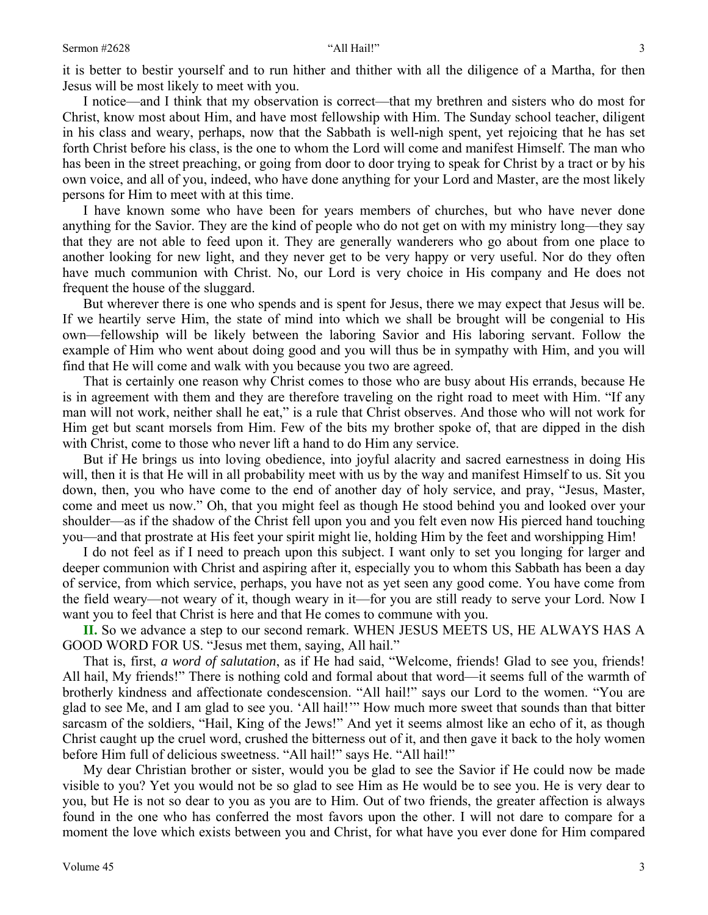it is better to bestir yourself and to run hither and thither with all the diligence of a Martha, for then Jesus will be most likely to meet with you.

 I notice—and I think that my observation is correct—that my brethren and sisters who do most for Christ, know most about Him, and have most fellowship with Him. The Sunday school teacher, diligent in his class and weary, perhaps, now that the Sabbath is well-nigh spent, yet rejoicing that he has set forth Christ before his class, is the one to whom the Lord will come and manifest Himself. The man who has been in the street preaching, or going from door to door trying to speak for Christ by a tract or by his own voice, and all of you, indeed, who have done anything for your Lord and Master, are the most likely persons for Him to meet with at this time.

 I have known some who have been for years members of churches, but who have never done anything for the Savior. They are the kind of people who do not get on with my ministry long—they say that they are not able to feed upon it. They are generally wanderers who go about from one place to another looking for new light, and they never get to be very happy or very useful. Nor do they often have much communion with Christ. No, our Lord is very choice in His company and He does not frequent the house of the sluggard.

 But wherever there is one who spends and is spent for Jesus, there we may expect that Jesus will be. If we heartily serve Him, the state of mind into which we shall be brought will be congenial to His own—fellowship will be likely between the laboring Savior and His laboring servant. Follow the example of Him who went about doing good and you will thus be in sympathy with Him, and you will find that He will come and walk with you because you two are agreed.

 That is certainly one reason why Christ comes to those who are busy about His errands, because He is in agreement with them and they are therefore traveling on the right road to meet with Him. "If any man will not work, neither shall he eat," is a rule that Christ observes. And those who will not work for Him get but scant morsels from Him. Few of the bits my brother spoke of, that are dipped in the dish with Christ, come to those who never lift a hand to do Him any service.

 But if He brings us into loving obedience, into joyful alacrity and sacred earnestness in doing His will, then it is that He will in all probability meet with us by the way and manifest Himself to us. Sit you down, then, you who have come to the end of another day of holy service, and pray, "Jesus, Master, come and meet us now." Oh, that you might feel as though He stood behind you and looked over your shoulder—as if the shadow of the Christ fell upon you and you felt even now His pierced hand touching you—and that prostrate at His feet your spirit might lie, holding Him by the feet and worshipping Him!

 I do not feel as if I need to preach upon this subject. I want only to set you longing for larger and deeper communion with Christ and aspiring after it, especially you to whom this Sabbath has been a day of service, from which service, perhaps, you have not as yet seen any good come. You have come from the field weary—not weary of it, though weary in it—for you are still ready to serve your Lord. Now I want you to feel that Christ is here and that He comes to commune with you.

**II.** So we advance a step to our second remark. WHEN JESUS MEETS US, HE ALWAYS HAS A GOOD WORD FOR US. "Jesus met them, saying, All hail."

 That is, first, *a word of salutation*, as if He had said, "Welcome, friends! Glad to see you, friends! All hail, My friends!" There is nothing cold and formal about that word—it seems full of the warmth of brotherly kindness and affectionate condescension. "All hail!" says our Lord to the women. "You are glad to see Me, and I am glad to see you. 'All hail!'" How much more sweet that sounds than that bitter sarcasm of the soldiers, "Hail, King of the Jews!" And yet it seems almost like an echo of it, as though Christ caught up the cruel word, crushed the bitterness out of it, and then gave it back to the holy women before Him full of delicious sweetness. "All hail!" says He. "All hail!"

 My dear Christian brother or sister, would you be glad to see the Savior if He could now be made visible to you? Yet you would not be so glad to see Him as He would be to see you. He is very dear to you, but He is not so dear to you as you are to Him. Out of two friends, the greater affection is always found in the one who has conferred the most favors upon the other. I will not dare to compare for a moment the love which exists between you and Christ, for what have you ever done for Him compared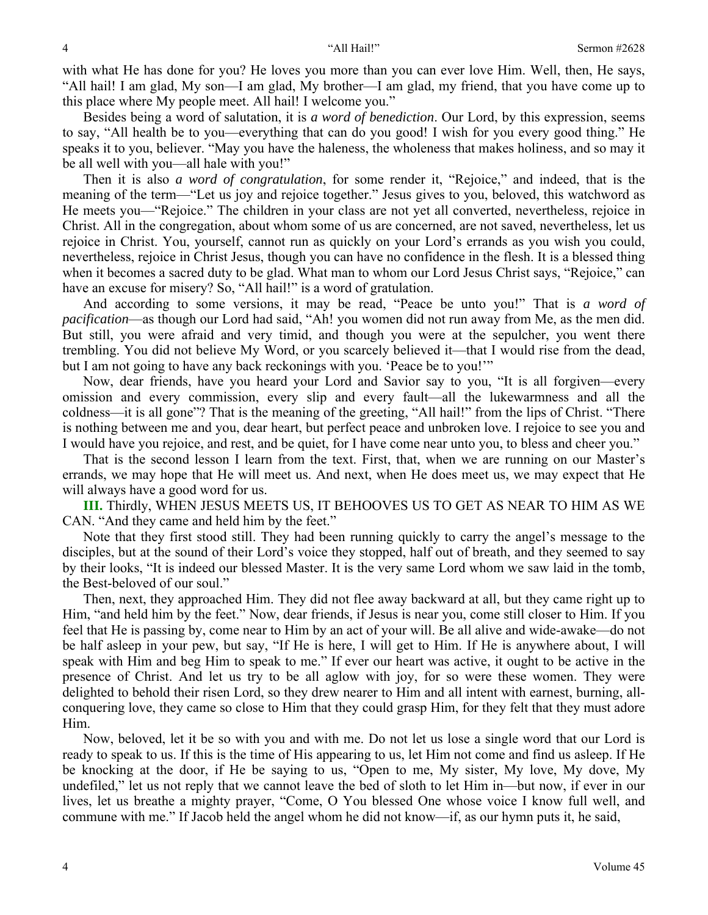with what He has done for you? He loves you more than you can ever love Him. Well, then, He says, "All hail! I am glad, My son—I am glad, My brother—I am glad, my friend, that you have come up to this place where My people meet. All hail! I welcome you."

 Besides being a word of salutation, it is *a word of benediction*. Our Lord, by this expression, seems to say, "All health be to you—everything that can do you good! I wish for you every good thing." He speaks it to you, believer. "May you have the haleness, the wholeness that makes holiness, and so may it be all well with you—all hale with you!"

 Then it is also *a word of congratulation*, for some render it, "Rejoice," and indeed, that is the meaning of the term—"Let us joy and rejoice together." Jesus gives to you, beloved, this watchword as He meets you—"Rejoice." The children in your class are not yet all converted, nevertheless, rejoice in Christ. All in the congregation, about whom some of us are concerned, are not saved, nevertheless, let us rejoice in Christ. You, yourself, cannot run as quickly on your Lord's errands as you wish you could, nevertheless, rejoice in Christ Jesus, though you can have no confidence in the flesh. It is a blessed thing when it becomes a sacred duty to be glad. What man to whom our Lord Jesus Christ says, "Rejoice," can have an excuse for misery? So, "All hail!" is a word of gratulation.

 And according to some versions, it may be read, "Peace be unto you!" That is *a word of pacification*—as though our Lord had said, "Ah! you women did not run away from Me, as the men did. But still, you were afraid and very timid, and though you were at the sepulcher, you went there trembling. You did not believe My Word, or you scarcely believed it—that I would rise from the dead, but I am not going to have any back reckonings with you. 'Peace be to you!'"

 Now, dear friends, have you heard your Lord and Savior say to you, "It is all forgiven—every omission and every commission, every slip and every fault—all the lukewarmness and all the coldness—it is all gone"? That is the meaning of the greeting, "All hail!" from the lips of Christ. "There is nothing between me and you, dear heart, but perfect peace and unbroken love. I rejoice to see you and I would have you rejoice, and rest, and be quiet, for I have come near unto you, to bless and cheer you."

 That is the second lesson I learn from the text. First, that, when we are running on our Master's errands, we may hope that He will meet us. And next, when He does meet us, we may expect that He will always have a good word for us.

**III.** Thirdly, WHEN JESUS MEETS US, IT BEHOOVES US TO GET AS NEAR TO HIM AS WE CAN. "And they came and held him by the feet."

 Note that they first stood still. They had been running quickly to carry the angel's message to the disciples, but at the sound of their Lord's voice they stopped, half out of breath, and they seemed to say by their looks, "It is indeed our blessed Master. It is the very same Lord whom we saw laid in the tomb, the Best-beloved of our soul."

 Then, next, they approached Him. They did not flee away backward at all, but they came right up to Him, "and held him by the feet." Now, dear friends, if Jesus is near you, come still closer to Him. If you feel that He is passing by, come near to Him by an act of your will. Be all alive and wide-awake—do not be half asleep in your pew, but say, "If He is here, I will get to Him. If He is anywhere about, I will speak with Him and beg Him to speak to me." If ever our heart was active, it ought to be active in the presence of Christ. And let us try to be all aglow with joy, for so were these women. They were delighted to behold their risen Lord, so they drew nearer to Him and all intent with earnest, burning, allconquering love, they came so close to Him that they could grasp Him, for they felt that they must adore Him.

 Now, beloved, let it be so with you and with me. Do not let us lose a single word that our Lord is ready to speak to us. If this is the time of His appearing to us, let Him not come and find us asleep. If He be knocking at the door, if He be saying to us, "Open to me, My sister, My love, My dove, My undefiled," let us not reply that we cannot leave the bed of sloth to let Him in—but now, if ever in our lives, let us breathe a mighty prayer, "Come, O You blessed One whose voice I know full well, and commune with me." If Jacob held the angel whom he did not know—if, as our hymn puts it, he said,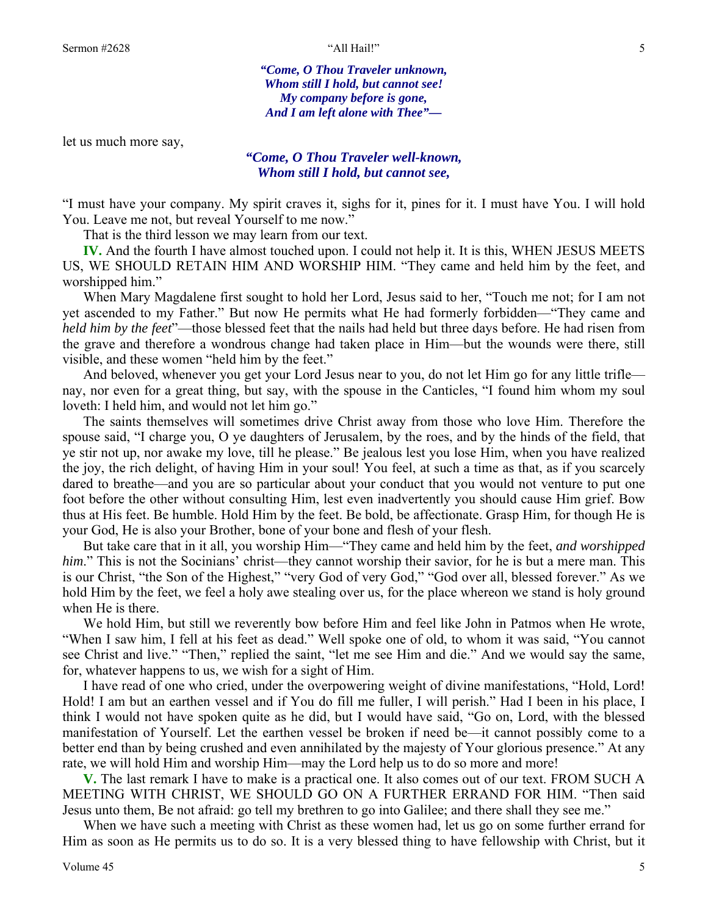*"Come, O Thou Traveler unknown, Whom still I hold, but cannot see! My company before is gone, And I am left alone with Thee"—* 

let us much more say,

# *"Come, O Thou Traveler well-known, Whom still I hold, but cannot see,*

"I must have your company. My spirit craves it, sighs for it, pines for it. I must have You. I will hold You. Leave me not, but reveal Yourself to me now."

That is the third lesson we may learn from our text.

**IV.** And the fourth I have almost touched upon. I could not help it. It is this, WHEN JESUS MEETS US, WE SHOULD RETAIN HIM AND WORSHIP HIM. "They came and held him by the feet, and worshipped him."

 When Mary Magdalene first sought to hold her Lord, Jesus said to her, "Touch me not; for I am not yet ascended to my Father." But now He permits what He had formerly forbidden—"They came and *held him by the feet*"—those blessed feet that the nails had held but three days before. He had risen from the grave and therefore a wondrous change had taken place in Him—but the wounds were there, still visible, and these women "held him by the feet."

 And beloved, whenever you get your Lord Jesus near to you, do not let Him go for any little trifle nay, nor even for a great thing, but say, with the spouse in the Canticles, "I found him whom my soul loveth: I held him, and would not let him go."

 The saints themselves will sometimes drive Christ away from those who love Him. Therefore the spouse said, "I charge you, O ye daughters of Jerusalem, by the roes, and by the hinds of the field, that ye stir not up, nor awake my love, till he please." Be jealous lest you lose Him, when you have realized the joy, the rich delight, of having Him in your soul! You feel, at such a time as that, as if you scarcely dared to breathe—and you are so particular about your conduct that you would not venture to put one foot before the other without consulting Him, lest even inadvertently you should cause Him grief. Bow thus at His feet. Be humble. Hold Him by the feet. Be bold, be affectionate. Grasp Him, for though He is your God, He is also your Brother, bone of your bone and flesh of your flesh.

 But take care that in it all, you worship Him—"They came and held him by the feet, *and worshipped him*." This is not the Socinians' christ—they cannot worship their savior, for he is but a mere man. This is our Christ, "the Son of the Highest," "very God of very God," "God over all, blessed forever." As we hold Him by the feet, we feel a holy awe stealing over us, for the place whereon we stand is holy ground when He is there.

 We hold Him, but still we reverently bow before Him and feel like John in Patmos when He wrote, "When I saw him, I fell at his feet as dead." Well spoke one of old, to whom it was said, "You cannot see Christ and live." "Then," replied the saint, "let me see Him and die." And we would say the same, for, whatever happens to us, we wish for a sight of Him.

 I have read of one who cried, under the overpowering weight of divine manifestations, "Hold, Lord! Hold! I am but an earthen vessel and if You do fill me fuller, I will perish." Had I been in his place, I think I would not have spoken quite as he did, but I would have said, "Go on, Lord, with the blessed manifestation of Yourself. Let the earthen vessel be broken if need be—it cannot possibly come to a better end than by being crushed and even annihilated by the majesty of Your glorious presence." At any rate, we will hold Him and worship Him—may the Lord help us to do so more and more!

**V.** The last remark I have to make is a practical one. It also comes out of our text. FROM SUCH A MEETING WITH CHRIST, WE SHOULD GO ON A FURTHER ERRAND FOR HIM. "Then said Jesus unto them, Be not afraid: go tell my brethren to go into Galilee; and there shall they see me."

 When we have such a meeting with Christ as these women had, let us go on some further errand for Him as soon as He permits us to do so. It is a very blessed thing to have fellowship with Christ, but it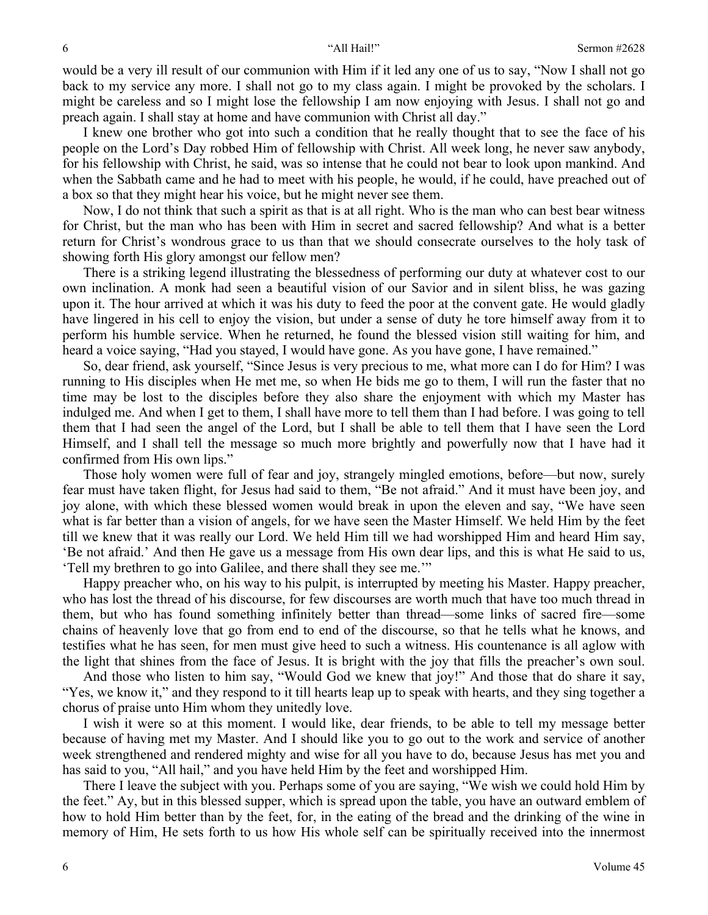would be a very ill result of our communion with Him if it led any one of us to say, "Now I shall not go back to my service any more. I shall not go to my class again. I might be provoked by the scholars. I might be careless and so I might lose the fellowship I am now enjoying with Jesus. I shall not go and preach again. I shall stay at home and have communion with Christ all day."

 I knew one brother who got into such a condition that he really thought that to see the face of his people on the Lord's Day robbed Him of fellowship with Christ. All week long, he never saw anybody, for his fellowship with Christ, he said, was so intense that he could not bear to look upon mankind. And when the Sabbath came and he had to meet with his people, he would, if he could, have preached out of a box so that they might hear his voice, but he might never see them.

 Now, I do not think that such a spirit as that is at all right. Who is the man who can best bear witness for Christ, but the man who has been with Him in secret and sacred fellowship? And what is a better return for Christ's wondrous grace to us than that we should consecrate ourselves to the holy task of showing forth His glory amongst our fellow men?

 There is a striking legend illustrating the blessedness of performing our duty at whatever cost to our own inclination. A monk had seen a beautiful vision of our Savior and in silent bliss, he was gazing upon it. The hour arrived at which it was his duty to feed the poor at the convent gate. He would gladly have lingered in his cell to enjoy the vision, but under a sense of duty he tore himself away from it to perform his humble service. When he returned, he found the blessed vision still waiting for him, and heard a voice saying, "Had you stayed, I would have gone. As you have gone, I have remained."

 So, dear friend, ask yourself, "Since Jesus is very precious to me, what more can I do for Him? I was running to His disciples when He met me, so when He bids me go to them, I will run the faster that no time may be lost to the disciples before they also share the enjoyment with which my Master has indulged me. And when I get to them, I shall have more to tell them than I had before. I was going to tell them that I had seen the angel of the Lord, but I shall be able to tell them that I have seen the Lord Himself, and I shall tell the message so much more brightly and powerfully now that I have had it confirmed from His own lips."

 Those holy women were full of fear and joy, strangely mingled emotions, before—but now, surely fear must have taken flight, for Jesus had said to them, "Be not afraid." And it must have been joy, and joy alone, with which these blessed women would break in upon the eleven and say, "We have seen what is far better than a vision of angels, for we have seen the Master Himself. We held Him by the feet till we knew that it was really our Lord. We held Him till we had worshipped Him and heard Him say, 'Be not afraid.' And then He gave us a message from His own dear lips, and this is what He said to us, 'Tell my brethren to go into Galilee, and there shall they see me.'"

 Happy preacher who, on his way to his pulpit, is interrupted by meeting his Master. Happy preacher, who has lost the thread of his discourse, for few discourses are worth much that have too much thread in them, but who has found something infinitely better than thread—some links of sacred fire—some chains of heavenly love that go from end to end of the discourse, so that he tells what he knows, and testifies what he has seen, for men must give heed to such a witness. His countenance is all aglow with the light that shines from the face of Jesus. It is bright with the joy that fills the preacher's own soul.

 And those who listen to him say, "Would God we knew that joy!" And those that do share it say, "Yes, we know it," and they respond to it till hearts leap up to speak with hearts, and they sing together a chorus of praise unto Him whom they unitedly love.

 I wish it were so at this moment. I would like, dear friends, to be able to tell my message better because of having met my Master. And I should like you to go out to the work and service of another week strengthened and rendered mighty and wise for all you have to do, because Jesus has met you and has said to you, "All hail," and you have held Him by the feet and worshipped Him.

 There I leave the subject with you. Perhaps some of you are saying, "We wish we could hold Him by the feet." Ay, but in this blessed supper, which is spread upon the table, you have an outward emblem of how to hold Him better than by the feet, for, in the eating of the bread and the drinking of the wine in memory of Him, He sets forth to us how His whole self can be spiritually received into the innermost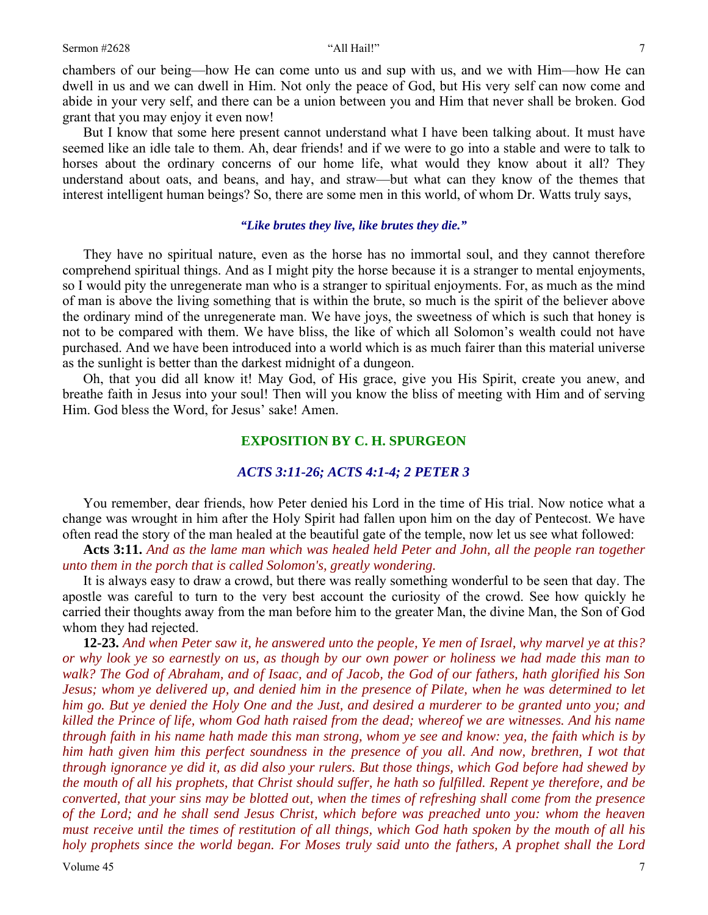chambers of our being—how He can come unto us and sup with us, and we with Him—how He can dwell in us and we can dwell in Him. Not only the peace of God, but His very self can now come and abide in your very self, and there can be a union between you and Him that never shall be broken. God grant that you may enjoy it even now!

 But I know that some here present cannot understand what I have been talking about. It must have seemed like an idle tale to them. Ah, dear friends! and if we were to go into a stable and were to talk to horses about the ordinary concerns of our home life, what would they know about it all? They understand about oats, and beans, and hay, and straw—but what can they know of the themes that interest intelligent human beings? So, there are some men in this world, of whom Dr. Watts truly says,

### *"Like brutes they live, like brutes they die."*

 They have no spiritual nature, even as the horse has no immortal soul, and they cannot therefore comprehend spiritual things. And as I might pity the horse because it is a stranger to mental enjoyments, so I would pity the unregenerate man who is a stranger to spiritual enjoyments. For, as much as the mind of man is above the living something that is within the brute, so much is the spirit of the believer above the ordinary mind of the unregenerate man. We have joys, the sweetness of which is such that honey is not to be compared with them. We have bliss, the like of which all Solomon's wealth could not have purchased. And we have been introduced into a world which is as much fairer than this material universe as the sunlight is better than the darkest midnight of a dungeon.

 Oh, that you did all know it! May God, of His grace, give you His Spirit, create you anew, and breathe faith in Jesus into your soul! Then will you know the bliss of meeting with Him and of serving Him. God bless the Word, for Jesus' sake! Amen.

### **EXPOSITION BY C. H. SPURGEON**

### *ACTS 3:11-26; ACTS 4:1-4; 2 PETER 3*

You remember, dear friends, how Peter denied his Lord in the time of His trial. Now notice what a change was wrought in him after the Holy Spirit had fallen upon him on the day of Pentecost. We have often read the story of the man healed at the beautiful gate of the temple, now let us see what followed:

**Acts 3:11.** *And as the lame man which was healed held Peter and John, all the people ran together unto them in the porch that is called Solomon's, greatly wondering.* 

 It is always easy to draw a crowd, but there was really something wonderful to be seen that day. The apostle was careful to turn to the very best account the curiosity of the crowd. See how quickly he carried their thoughts away from the man before him to the greater Man, the divine Man, the Son of God whom they had rejected.

**12-23.** *And when Peter saw it, he answered unto the people, Ye men of Israel, why marvel ye at this? or why look ye so earnestly on us, as though by our own power or holiness we had made this man to walk? The God of Abraham, and of Isaac, and of Jacob, the God of our fathers, hath glorified his Son Jesus; whom ye delivered up, and denied him in the presence of Pilate, when he was determined to let him go. But ye denied the Holy One and the Just, and desired a murderer to be granted unto you; and killed the Prince of life, whom God hath raised from the dead; whereof we are witnesses. And his name through faith in his name hath made this man strong, whom ye see and know: yea, the faith which is by him hath given him this perfect soundness in the presence of you all. And now, brethren, I wot that through ignorance ye did it, as did also your rulers. But those things, which God before had shewed by the mouth of all his prophets, that Christ should suffer, he hath so fulfilled. Repent ye therefore, and be converted, that your sins may be blotted out, when the times of refreshing shall come from the presence of the Lord; and he shall send Jesus Christ, which before was preached unto you: whom the heaven must receive until the times of restitution of all things, which God hath spoken by the mouth of all his holy prophets since the world began. For Moses truly said unto the fathers, A prophet shall the Lord* 

Volume 45  $\frac{1}{2}$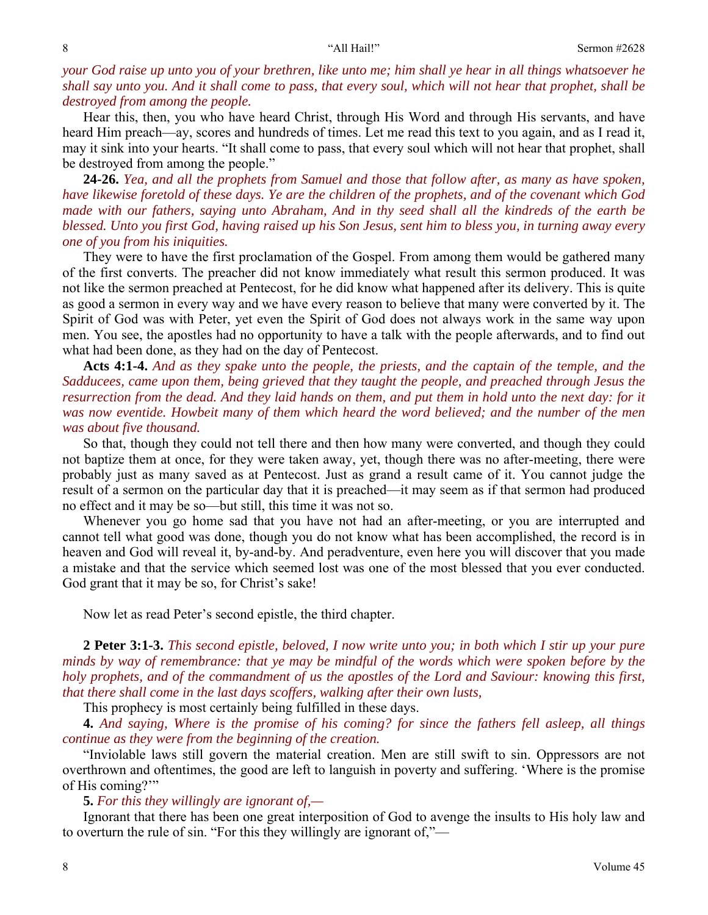# *your God raise up unto you of your brethren, like unto me; him shall ye hear in all things whatsoever he shall say unto you. And it shall come to pass, that every soul, which will not hear that prophet, shall be destroyed from among the people.*

 Hear this, then, you who have heard Christ, through His Word and through His servants, and have heard Him preach—ay, scores and hundreds of times. Let me read this text to you again, and as I read it, may it sink into your hearts. "It shall come to pass, that every soul which will not hear that prophet, shall be destroyed from among the people."

**24-26.** *Yea, and all the prophets from Samuel and those that follow after, as many as have spoken, have likewise foretold of these days. Ye are the children of the prophets, and of the covenant which God made with our fathers, saying unto Abraham, And in thy seed shall all the kindreds of the earth be blessed. Unto you first God, having raised up his Son Jesus, sent him to bless you, in turning away every one of you from his iniquities.*

 They were to have the first proclamation of the Gospel. From among them would be gathered many of the first converts. The preacher did not know immediately what result this sermon produced. It was not like the sermon preached at Pentecost, for he did know what happened after its delivery. This is quite as good a sermon in every way and we have every reason to believe that many were converted by it. The Spirit of God was with Peter, yet even the Spirit of God does not always work in the same way upon men. You see, the apostles had no opportunity to have a talk with the people afterwards, and to find out what had been done, as they had on the day of Pentecost.

**Acts 4:1-4.** *And as they spake unto the people, the priests, and the captain of the temple, and the Sadducees, came upon them, being grieved that they taught the people, and preached through Jesus the resurrection from the dead. And they laid hands on them, and put them in hold unto the next day: for it was now eventide. Howbeit many of them which heard the word believed; and the number of the men was about five thousand.* 

 So that, though they could not tell there and then how many were converted, and though they could not baptize them at once, for they were taken away, yet, though there was no after-meeting, there were probably just as many saved as at Pentecost. Just as grand a result came of it. You cannot judge the result of a sermon on the particular day that it is preached—it may seem as if that sermon had produced no effect and it may be so—but still, this time it was not so.

 Whenever you go home sad that you have not had an after-meeting, or you are interrupted and cannot tell what good was done, though you do not know what has been accomplished, the record is in heaven and God will reveal it, by-and-by. And peradventure, even here you will discover that you made a mistake and that the service which seemed lost was one of the most blessed that you ever conducted. God grant that it may be so, for Christ's sake!

Now let as read Peter's second epistle, the third chapter.

**2 Peter 3:1-3.** *This second epistle, beloved, I now write unto you; in both which I stir up your pure minds by way of remembrance: that ye may be mindful of the words which were spoken before by the holy prophets, and of the commandment of us the apostles of the Lord and Saviour: knowing this first, that there shall come in the last days scoffers, walking after their own lusts,*

This prophecy is most certainly being fulfilled in these days.

**4.** *And saying, Where is the promise of his coming? for since the fathers fell asleep, all things continue as they were from the beginning of the creation.*

 "Inviolable laws still govern the material creation. Men are still swift to sin. Oppressors are not overthrown and oftentimes, the good are left to languish in poverty and suffering. 'Where is the promise of His coming?'"

**5.** *For this they willingly are ignorant of,—*

 Ignorant that there has been one great interposition of God to avenge the insults to His holy law and to overturn the rule of sin. "For this they willingly are ignorant of,"—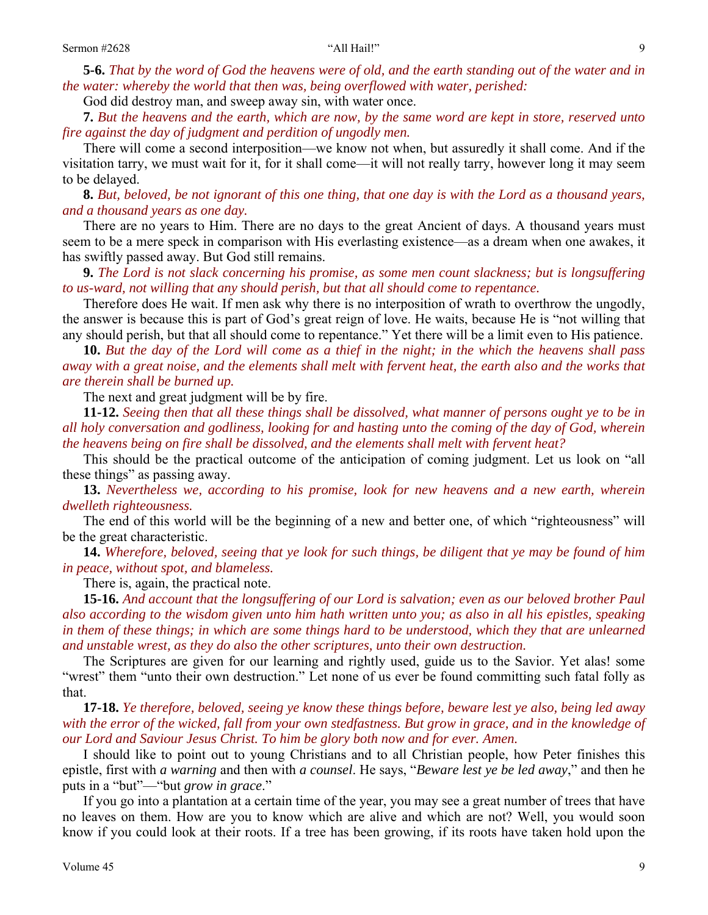**5-6.** *That by the word of God the heavens were of old, and the earth standing out of the water and in the water: whereby the world that then was, being overflowed with water, perished:* 

God did destroy man, and sweep away sin, with water once.

**7.** *But the heavens and the earth, which are now, by the same word are kept in store, reserved unto fire against the day of judgment and perdition of ungodly men.*

 There will come a second interposition—we know not when, but assuredly it shall come. And if the visitation tarry, we must wait for it, for it shall come—it will not really tarry, however long it may seem to be delayed.

**8.** *But, beloved, be not ignorant of this one thing, that one day is with the Lord as a thousand years, and a thousand years as one day.*

 There are no years to Him. There are no days to the great Ancient of days. A thousand years must seem to be a mere speck in comparison with His everlasting existence—as a dream when one awakes, it has swiftly passed away. But God still remains.

**9.** *The Lord is not slack concerning his promise, as some men count slackness; but is longsuffering to us-ward, not willing that any should perish, but that all should come to repentance.* 

 Therefore does He wait. If men ask why there is no interposition of wrath to overthrow the ungodly, the answer is because this is part of God's great reign of love. He waits, because He is "not willing that any should perish, but that all should come to repentance." Yet there will be a limit even to His patience.

**10.** *But the day of the Lord will come as a thief in the night; in the which the heavens shall pass away with a great noise, and the elements shall melt with fervent heat, the earth also and the works that are therein shall be burned up.*

The next and great judgment will be by fire.

**11-12.** *Seeing then that all these things shall be dissolved, what manner of persons ought ye to be in all holy conversation and godliness, looking for and hasting unto the coming of the day of God, wherein the heavens being on fire shall be dissolved, and the elements shall melt with fervent heat?*

 This should be the practical outcome of the anticipation of coming judgment. Let us look on "all these things" as passing away.

**13.** *Nevertheless we, according to his promise, look for new heavens and a new earth, wherein dwelleth righteousness.*

 The end of this world will be the beginning of a new and better one, of which "righteousness" will be the great characteristic.

**14.** *Wherefore, beloved, seeing that ye look for such things, be diligent that ye may be found of him in peace, without spot, and blameless.*

There is, again, the practical note.

**15-16.** *And account that the longsuffering of our Lord is salvation; even as our beloved brother Paul also according to the wisdom given unto him hath written unto you; as also in all his epistles, speaking in them of these things; in which are some things hard to be understood, which they that are unlearned and unstable wrest, as they do also the other scriptures, unto their own destruction.*

 The Scriptures are given for our learning and rightly used, guide us to the Savior. Yet alas! some "wrest" them "unto their own destruction." Let none of us ever be found committing such fatal folly as that.

**17-18.** *Ye therefore, beloved, seeing ye know these things before, beware lest ye also, being led away*  with the error of the wicked, fall from your own stedfastness. But grow in grace, and in the knowledge of *our Lord and Saviour Jesus Christ. To him be glory both now and for ever. Amen.*

 I should like to point out to young Christians and to all Christian people, how Peter finishes this epistle, first with *a warning* and then with *a counsel*. He says, "*Beware lest ye be led away*," and then he puts in a "but"—"but *grow in grace*."

 If you go into a plantation at a certain time of the year, you may see a great number of trees that have no leaves on them. How are you to know which are alive and which are not? Well, you would soon know if you could look at their roots. If a tree has been growing, if its roots have taken hold upon the